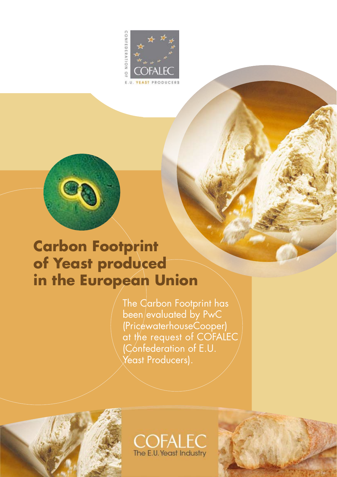



# **Carbon Footprint of Yeast produced in the European Union**

The Carbon Footprint has been/evaluated by PwC (PricewaterhouseCooper) at the request of COFALEC (Confederation of E.U. Yeast Producers).





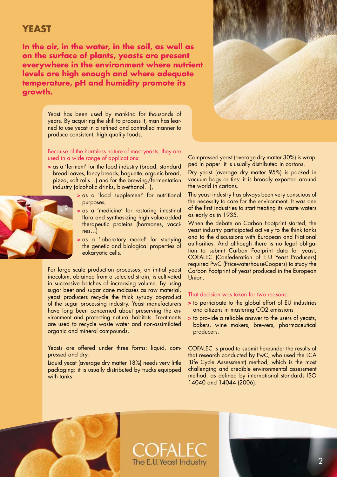### **YEAST**

**In the air, in the water, in the soil, as well as on the surface of plants, yeasts are present everywhere in the environment where nutrient levels are high enough and where adequate temperature, pH and humidity promote its growth.** 



Yeast has been used by mankind for thousands of years. By acquiring the skill to process it, man has learned to use yeast in a refined and controlled manner to produce consistent, high quality foods.

#### Because of the harmless nature of most yeasts, they are used in a wide range of applications:

- > as a 'ferment' for the food industry (bread, standard bread loaves, fancy breads, baguette, organic bread, pizza, soft rolls…) and for the brewing/fermentation industry (alcoholic drinks, bio-ethanol…),
	- > as a 'food supplement' for nutritional purposes,
	- > as a 'medicine' for restoring intestinal flora and synthesizing high value-added therapeutic proteins (hormones, vaccines…)
	- > as a 'laboratory model' for studying the genetic and biological properties of eukaryotic cells.

For large scale production processes, an initial yeast inoculum, obtained from a selected strain, is cultivated in successive batches of increasing volume. By using sugar beet and sugar cane molasses as raw material, yeast producers recycle the thick syrupy co-product of the sugar processing industry. Yeast manufacturers have long been concerned about preserving the environment and protecting natural habitats. Treatments are used to recycle waste water and non-assimilated organic and mineral compounds.

Yeasts are offered under three forms: liquid, compressed and dry.

Liquid yeast (average dry matter 18%) needs very little packaging: it is usually distributed by trucks equipped with tanks.

Compressed yeast (average dry matter 30%) is wrapped in paper: it is usually distributed in cartons.

Dry yeast (average dry matter 95%) is packed in vacuum bags or tins: it is broadly exported around the world in cartons.

The yeast industry has always been very conscious of the necessity to care for the environment. It was one of the first industries to start treating its waste waters as early as in 1935.

When the debate on Carbon Footprint started, the yeast industry participated actively to the think tanks and to the discussions with European and National authorities. And although there is no legal obligation to submit Carbon Footprint data for yeast, COFALEC (Confederation of E.U Yeast Producers) required PwC (PricewaterhouseCoopers) to study the Carbon Footprint of yeast produced in the European Union.

#### That decision was taken for two reasons:

- > to participate to the global effort of EU industries and citizens in mastering CO2 emissions
- > to provide a reliable answer to the users of yeasts, bakers, wine makers, brewers, pharmaceutical producers.

COFALEC is proud to submit hereunder the results of that research conducted by PwC, who used the LCA (Life Cycle Assessment) method, which is the most challenging and credible environmental assessment method, as defined by international standards ISO 14040 and 14044 (2006).



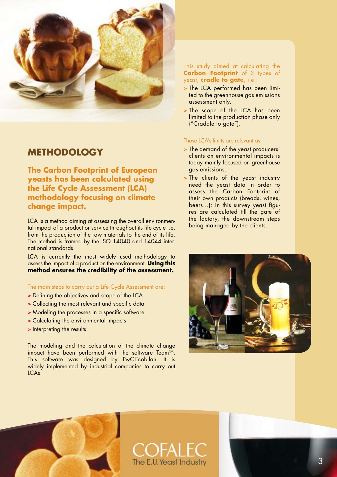

### **METHODOLOGY**

**The Carbon Footprint of European yeasts has been calculated using the Life Cycle Assessment (LCA) methodology focusing on climate change impact.** 

LCA is a method aiming at assessing the overall environmental impact of a product or service throughout its life cycle i.e. from the production of the raw materials to the end of its life. The method is framed by the ISO 14040 and 14044 international standards.

LCA is currently the most widely used methodology to assess the impact of a product on the environment. **Using this method ensures the credibility of the assessment.**

The main steps to carry out a Life Cycle Assessment are:

- > Defining the objectives and scope of the LCA
- > Collecting the most relevant and specific data
- > Modeling the processes in a specific software
- > Calculating the environmental impacts
- > Interpreting the results

The modeling and the calculation of the climate change impact have been performed with the software Team™. This software was designed by PwC-Ecobilan. It is widely implemented by industrial companies to carry out LCAs.

#### This study aimed at calculating the **carbon Footprint** of 3 types of yeast, **cradle to gate**, i.e.:

- > The LCA performed has been limited to the greenhouse gas emissions assessment only.
- > The scope of the LCA has been limited to the production phase only ("Craddle to gate").

#### Those LCA's limits are relevant as:

- > The demand of the yeast producers' clients on environmental impacts is today mainly focused on greenhouse gas emissions.
- > The clients of the yeast industry need the yeast data in order to assess the Carbon Footprint of their own products (breads, wines, beers…): in this survey yeast figures are calculated till the gate of the factory, the downstream steps being managed by the clients.





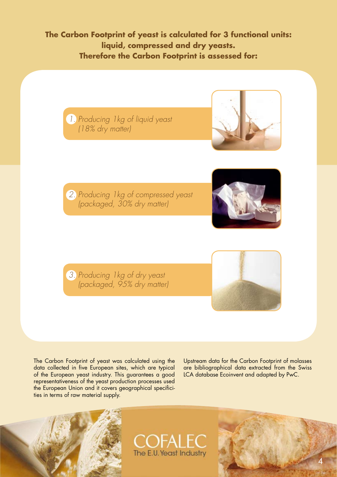**The Carbon Footprint of yeast is calculated for 3 functional units: liquid, compressed and dry yeasts. Therefore the Carbon Footprint is assessed for:**





*2. Producing 1kg of compressed yeast (packaged, 30% dry matter)*



*3. Producing 1kg of dry yeast (packaged, 95% dry matter)*



The Carbon Footprint of yeast was calculated using the data collected in five European sites, which are typical of the European yeast industry. This guarantees a good representativeness of the yeast production processes used the European Union and it covers geographical specificities in terms of raw material supply.

Upstream data for the Carbon Footprint of molasses are bibliographical data extracted from the Swiss LCA database Ecoinvent and adapted by PwC.





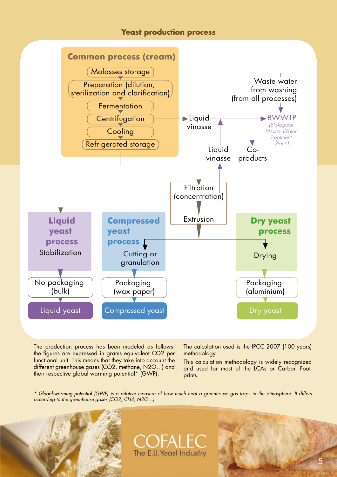### **Yeast production process**



The production process has been modeled as follows: the figures are expressed in grams equivalent CO2 per functional unit. This means that they take into account the different greenhouse gases (CO2, methane, N2O…) and their respective global warming potential\* (GWP).

The calculation used is the IPCC 2007 (100 years) methodology.

This calculation methodology is widely recognized and used for most of the LCAs or Carbon Footprints.

*\* Global-warming potential (GWP) is a relative measure of how much heat a greenhouse gas traps in the atmosphere. It differs according to the greenhouse gases (CO2, CH4, N2O…).*



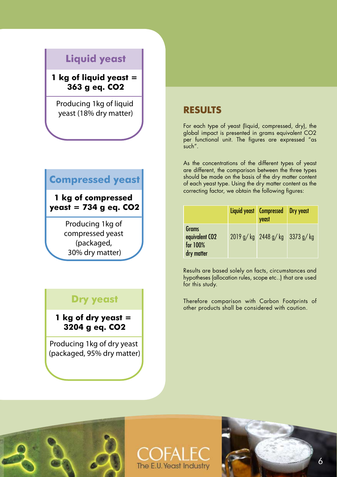# **Liquid yeast**

**1 kg of liquid yeast = 363 g eq. CO2**

Producing 1kg of liquid yeast (18% dry matter)

# **Compressed yeast**

**1 kg of compressed yeast = 734 g eq. CO2**

> Producing 1kg of compressed yeast (packaged, 30% dry matter)

# **Dry yeast**

**1 kg of dry yeast = 3204 g eq. CO2**

Producing 1kg of dry yeast (packaged, 95% dry matter)

## **RESULTS**

For each type of yeast (liquid, compressed, dry), the global impact is presented in grams equivalent CO2 per functional unit. The figures are expressed "as such".

As the concentrations of the different types of yeast are different, the comparison between the three types should be made on the basis of the dry matter content of each yeast type. Using the dry matter content as the correcting factor, we obtain the following figures:

|                                                               | Liquid yeast Compressed Dry yeast<br>yeast |  |
|---------------------------------------------------------------|--------------------------------------------|--|
| Grams<br>equivalent CO <sub>2</sub><br>for 100%<br>dry matter | $2019$ g/kg $2448$ g/kg $3373$ g/kg        |  |

Results are based solely on facts, circumstances and hypotheses (allocation rules, scope etc..) that are used for this study.

Therefore comparison with Carbon Footprints of other products shall be considered with caution.





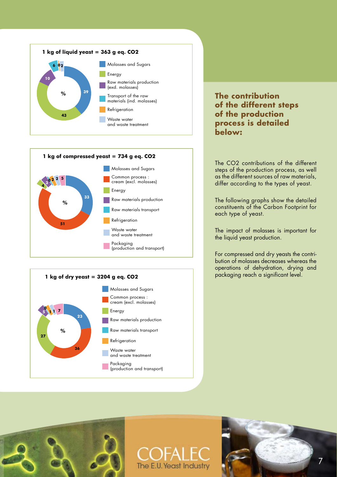



The CO2 contributions of the different steps of the production process, as well as the different sources of raw materials, differ according to the types of yeast.

The following graphs show the detailed constituents of the Carbon Footprint for each type of yeast.

The impact of molasses is important for the liquid yeast production.

For compressed and dry yeasts the contribution of molasses decreases whereas the operations of dehydration, drying and packaging reach a significant level.